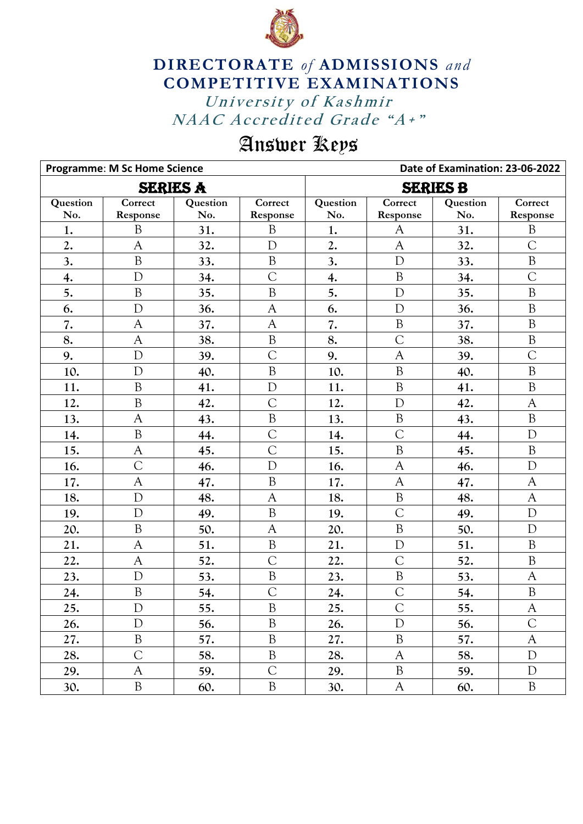

## **DIRECTORATE** *of* **ADMISSIONS** *and* **COMPETITIVE EXAMINATIONS**

University of Kashmir NAAC Accredited Grade "A+"

## Answer Keys

|          | <b>Programme: M Sc Home Science</b> |          |                | Date of Examination: 23-06-2022 |                |          |                |  |
|----------|-------------------------------------|----------|----------------|---------------------------------|----------------|----------|----------------|--|
|          | <b>SERIES A</b>                     |          |                | <b>SERIES B</b>                 |                |          |                |  |
| Question | Correct                             | Question | Correct        | Question                        | Correct        | Question | Correct        |  |
| No.      | Response                            | No.      | Response       | No.                             | Response       | No.      | Response       |  |
| 1.       | $\mathbf{B}$                        | 31.      | $\mathbf B$    | 1.                              | A              | 31.      | B              |  |
| 2.       | $\mathsf{A}$                        | 32.      | $\mathbf D$    | 2.                              | $\mathbf{A}$   | 32.      | $\overline{C}$ |  |
| 3.       | $\mathbf B$                         | 33.      | $\, {\bf B}$   | 3.                              | $\mathbf D$    | 33.      | $\mathbf B$    |  |
| 4.       | $\mathbf{D}$                        | 34.      | $\overline{C}$ | 4.                              | $\mathbf{B}$   | 34.      | $\overline{C}$ |  |
| 5.       | $\mathbf B$                         | 35.      | $\rm B$        | 5.                              | $\mathbf D$    | 35.      | B              |  |
| 6.       | D                                   | 36.      | $\mathsf{A}$   | 6.                              | D              | 36.      | B              |  |
| 7.       | $\mathsf{A}$                        | 37.      | $\mathsf{A}$   | 7.                              | $\, {\bf B}$   | 37.      | B              |  |
| 8.       | $\mathsf{A}$                        | 38.      | $\mathbf B$    | 8.                              | $\overline{C}$ | 38.      | B              |  |
| 9.       | $\mathbf{D}$                        | 39.      | $\overline{C}$ | 9.                              | $\mathsf{A}$   | 39.      | $\overline{C}$ |  |
| 10.      | D                                   | 40.      | $\, {\bf B}$   | 10.                             | $\mathbf B$    | 40.      | B              |  |
| 11.      | B                                   | 41.      | D              | 11.                             | $\mathbf{B}$   | 41.      | $\mathbf B$    |  |
| 12.      | $\mathbf B$                         | 42.      | $\overline{C}$ | 12.                             | $\mathbf{D}$   | 42.      | $\mathbf{A}$   |  |
| 13.      | $\mathsf{A}$                        | 43.      | $\, {\bf B}$   | 13.                             | $\rm B$        | 43.      | $\, {\bf B}$   |  |
| 14.      | B                                   | 44.      | $\overline{C}$ | 14.                             | $\overline{C}$ | 44.      | $\mathbf D$    |  |
| 15.      | $\mathbf{A}$                        | 45.      | $\overline{C}$ | 15.                             | $\mathbf B$    | 45.      | $\, {\bf B}$   |  |
| 16.      | $\overline{C}$                      | 46.      | $\mathbf D$    | 16.                             | A              | 46.      | D              |  |
| 17.      | $\mathsf{A}$                        | 47.      | $\mathbf B$    | 17.                             | $\overline{A}$ | 47.      | $\mathsf{A}$   |  |
| 18.      | $\mathbf{D}$                        | 48.      | $\mathsf{A}$   | 18.                             | $\rm B$        | 48.      | $\mathbf{A}$   |  |
| 19.      | D                                   | 49.      | $\mathbf B$    | 19.                             | $\overline{C}$ | 49.      | D              |  |
| 20.      | B                                   | 50.      | $\mathsf{A}$   | 20.                             | $\rm B$        | 50.      | $\mathbf D$    |  |
| 21.      | $\mathsf{A}$                        | 51.      | $\, {\bf B}$   | 21.                             | $\overline{D}$ | 51.      | $\, {\bf B}$   |  |
| 22.      | A                                   | 52.      | $\overline{C}$ | 22.                             | $\mathcal{C}$  | 52.      | B              |  |
| 23.      | D                                   | 53.      | $\, {\bf B}$   | 23.                             | $\, {\bf B}$   | 53.      | $\mathsf{A}$   |  |
| 24.      | $\mathbf B$                         | 54.      | $\overline{C}$ | 24.                             | $\overline{C}$ | 54.      | $\overline{B}$ |  |
| 25.      | $\mathbf D$                         | 55.      | $\mathbf B$    | 25.                             | $\mathsf{C}$   | 55.      | A              |  |
| 26.      | $\mathbf{D}$                        | 56.      | B              | 26.                             | $\mathbf D$    | 56.      | $\mathcal{C}$  |  |
| 27.      | $\, {\bf B}$                        | 57.      | $\, {\bf B}$   | 27.                             | B              | 57.      | A              |  |
| 28.      | $\overline{C}$                      | 58.      | $\, {\bf B}$   | 28.                             | $\mathsf{A}$   | 58.      | $\mathbf D$    |  |
| 29.      | A                                   | 59.      | $\overline{C}$ | 29.                             | $\mathbf{B}$   | 59.      | $\mathbf D$    |  |
| 30.      | $\boldsymbol{B}$                    | 60.      | $\, {\bf B}$   | 30.                             | A              | 60.      | $\mathbf B$    |  |